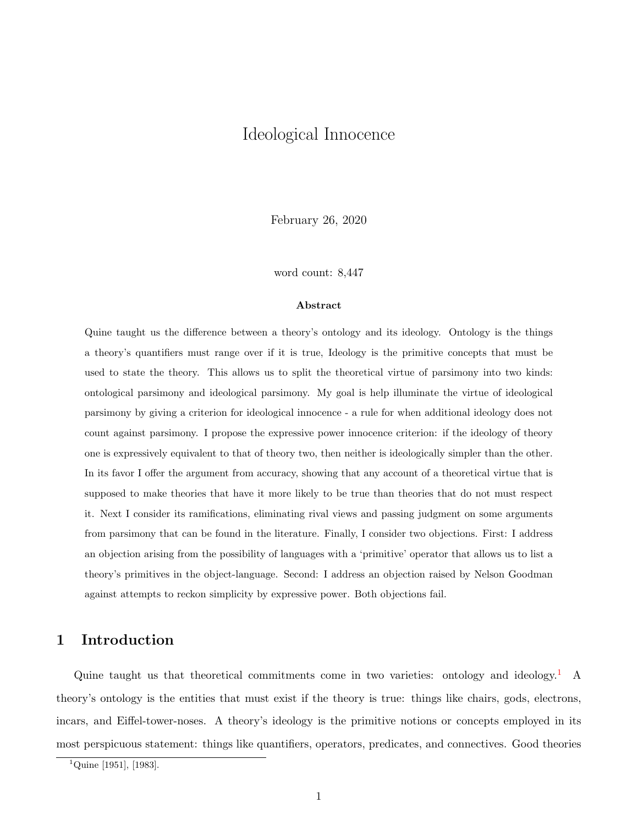# <span id="page-0-0"></span>Ideological Innocence

February 26, 2020

word count: 8,447

#### Abstract

Quine taught us the difference between a theory's ontology and its ideology. Ontology is the things a theory's quantifiers must range over if it is true, Ideology is the primitive concepts that must be used to state the theory. This allows us to split the theoretical virtue of parsimony into two kinds: ontological parsimony and ideological parsimony. My goal is help illuminate the virtue of ideological parsimony by giving a criterion for ideological innocence - a rule for when additional ideology does not count against parsimony. I propose the expressive power innocence criterion: if the ideology of theory one is expressively equivalent to that of theory two, then neither is ideologically simpler than the other. In its favor I offer the argument from accuracy, showing that any account of a theoretical virtue that is supposed to make theories that have it more likely to be true than theories that do not must respect it. Next I consider its ramifications, eliminating rival views and passing judgment on some arguments from parsimony that can be found in the literature. Finally, I consider two objections. First: I address an objection arising from the possibility of languages with a 'primitive' operator that allows us to list a theory's primitives in the object-language. Second: I address an objection raised by Nelson Goodman against attempts to reckon simplicity by expressive power. Both objections fail.

# 1 Introduction

Quine taught us that theoretical commitments come in two varieties: ontology and ideology.<sup>1</sup> A theory's ontology is the entities that must exist if the theory is true: things like chairs, gods, electrons, incars, and Eiffel-tower-noses. A theory's ideology is the primitive notions or concepts employed in its most perspicuous statement: things like quantifiers, operators, predicates, and connectives. Good theories

 $1^1$ Quine [1951], [1983].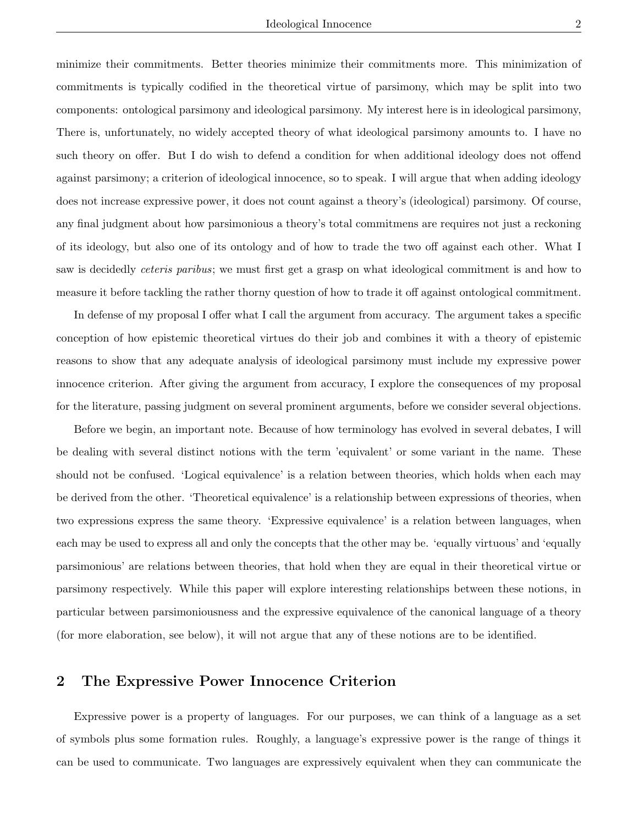minimize their commitments. Better theories minimize their commitments more. This minimization of commitments is typically codified in the theoretical virtue of parsimony, which may be split into two components: ontological parsimony and ideological parsimony. My interest here is in ideological parsimony, There is, unfortunately, no widely accepted theory of what ideological parsimony amounts to. I have no such theory on offer. But I do wish to defend a condition for when additional ideology does not offend against parsimony; a criterion of ideological innocence, so to speak. I will argue that when adding ideology does not increase expressive power, it does not count against a theory's (ideological) parsimony. Of course, any final judgment about how parsimonious a theory's total commitmens are requires not just a reckoning of its ideology, but also one of its ontology and of how to trade the two off against each other. What I saw is decidedly ceteris paribus; we must first get a grasp on what ideological commitment is and how to measure it before tackling the rather thorny question of how to trade it off against ontological commitment.

In defense of my proposal I offer what I call the argument from accuracy. The argument takes a specific conception of how epistemic theoretical virtues do their job and combines it with a theory of epistemic reasons to show that any adequate analysis of ideological parsimony must include my expressive power innocence criterion. After giving the argument from accuracy, I explore the consequences of my proposal for the literature, passing judgment on several prominent arguments, before we consider several objections.

Before we begin, an important note. Because of how terminology has evolved in several debates, I will be dealing with several distinct notions with the term 'equivalent' or some variant in the name. These should not be confused. 'Logical equivalence' is a relation between theories, which holds when each may be derived from the other. 'Theoretical equivalence' is a relationship between expressions of theories, when two expressions express the same theory. 'Expressive equivalence' is a relation between languages, when each may be used to express all and only the concepts that the other may be. 'equally virtuous' and 'equally parsimonious' are relations between theories, that hold when they are equal in their theoretical virtue or parsimony respectively. While this paper will explore interesting relationships between these notions, in particular between parsimoniousness and the expressive equivalence of the canonical language of a theory (for more elaboration, see below), it will not argue that any of these notions are to be identified.

## 2 The Expressive Power Innocence Criterion

Expressive power is a property of languages. For our purposes, we can think of a language as a set of symbols plus some formation rules. Roughly, a language's expressive power is the range of things it can be used to communicate. Two languages are expressively equivalent when they can communicate the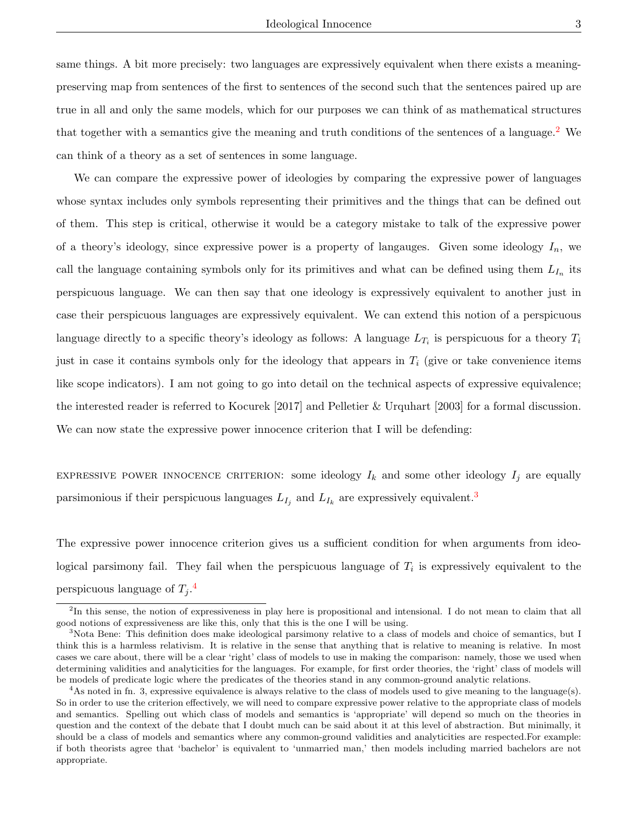same things. A bit more precisely: two languages are expressively equivalent when there exists a meaningpreserving map from sentences of the first to sentences of the second such that the sentences paired up are true in all and only the same models, which for our purposes we can think of as mathematical structures that together with a semantics give the meaning and truth conditions of the sentences of a language.<sup>[2](#page-0-0)</sup> We can think of a theory as a set of sentences in some language.

We can compare the expressive power of ideologies by comparing the expressive power of languages whose syntax includes only symbols representing their primitives and the things that can be defined out of them. This step is critical, otherwise it would be a category mistake to talk of the expressive power of a theory's ideology, since expressive power is a property of languages. Given some ideology  $I_n$ , we call the language containing symbols only for its primitives and what can be defined using them  $L_{I_n}$  its perspicuous language. We can then say that one ideology is expressively equivalent to another just in case their perspicuous languages are expressively equivalent. We can extend this notion of a perspicuous language directly to a specific theory's ideology as follows: A language  $L_{T_i}$  is perspicuous for a theory  $T_i$ just in case it contains symbols only for the ideology that appears in  $T_i$  (give or take convenience items like scope indicators). I am not going to go into detail on the technical aspects of expressive equivalence; the interested reader is referred to Kocurek [2017] and Pelletier & Urquhart [2003] for a formal discussion. We can now state the expressive power innocence criterion that I will be defending:

EXPRESSIVE POWER INNOCENCE CRITERION: some ideology  $I_k$  and some other ideology  $I_j$  are equally parsimonious if their perspicuous languages  $L_{I_j}$  and  $L_{I_k}$  are expressively equivalent.<sup>[3](#page-0-0)</sup>

The expressive power innocence criterion gives us a sufficient condition for when arguments from ideological parsimony fail. They fail when the perspicuous language of  $T_i$  is expressively equivalent to the perspicuous language of  $T_j$ .<sup>[4](#page-0-0)</sup>

<sup>&</sup>lt;sup>2</sup>In this sense, the notion of expressiveness in play here is propositional and intensional. I do not mean to claim that all good notions of expressiveness are like this, only that this is the one I will be using.

<sup>&</sup>lt;sup>3</sup>Nota Bene: This definition does make ideological parsimony relative to a class of models and choice of semantics, but I think this is a harmless relativism. It is relative in the sense that anything that is relative to meaning is relative. In most cases we care about, there will be a clear 'right' class of models to use in making the comparison: namely, those we used when determining validities and analyticities for the languages. For example, for first order theories, the 'right' class of models will be models of predicate logic where the predicates of the theories stand in any common-ground analytic relations.

 $4$ As noted in fn. 3, expressive equivalence is always relative to the class of models used to give meaning to the language(s). So in order to use the criterion effectively, we will need to compare expressive power relative to the appropriate class of models and semantics. Spelling out which class of models and semantics is 'appropriate' will depend so much on the theories in question and the context of the debate that I doubt much can be said about it at this level of abstraction. But minimally, it should be a class of models and semantics where any common-ground validities and analyticities are respected.For example: if both theorists agree that 'bachelor' is equivalent to 'unmarried man,' then models including married bachelors are not appropriate.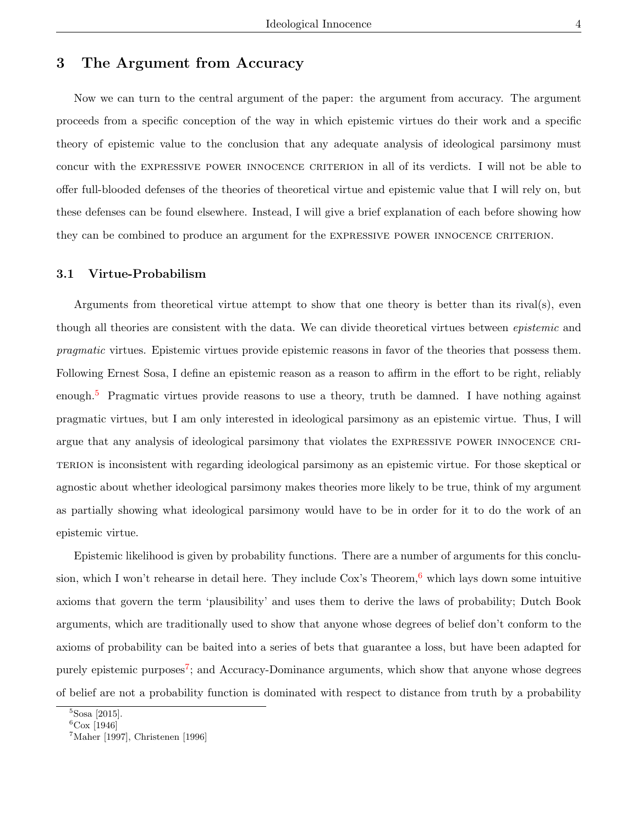# 3 The Argument from Accuracy

Now we can turn to the central argument of the paper: the argument from accuracy. The argument proceeds from a specific conception of the way in which epistemic virtues do their work and a specific theory of epistemic value to the conclusion that any adequate analysis of ideological parsimony must concur with the expressive power innocence criterion in all of its verdicts. I will not be able to offer full-blooded defenses of the theories of theoretical virtue and epistemic value that I will rely on, but these defenses can be found elsewhere. Instead, I will give a brief explanation of each before showing how they can be combined to produce an argument for the expressive power innocence criterion.

#### 3.1 Virtue-Probabilism

Arguments from theoretical virtue attempt to show that one theory is better than its rival(s), even though all theories are consistent with the data. We can divide theoretical virtues between *epistemic* and pragmatic virtues. Epistemic virtues provide epistemic reasons in favor of the theories that possess them. Following Ernest Sosa, I define an epistemic reason as a reason to affirm in the effort to be right, reliably enough.<sup>[5](#page-0-0)</sup> Pragmatic virtues provide reasons to use a theory, truth be damned. I have nothing against pragmatic virtues, but I am only interested in ideological parsimony as an epistemic virtue. Thus, I will argue that any analysis of ideological parsimony that violates the expressive power innocence criterion is inconsistent with regarding ideological parsimony as an epistemic virtue. For those skeptical or agnostic about whether ideological parsimony makes theories more likely to be true, think of my argument as partially showing what ideological parsimony would have to be in order for it to do the work of an epistemic virtue.

Epistemic likelihood is given by probability functions. There are a number of arguments for this conclusion, which I won't rehearse in detail here. They include  $\cos$ 's Theorem,  $\frac{6}{5}$  $\frac{6}{5}$  $\frac{6}{5}$  which lays down some intuitive axioms that govern the term 'plausibility' and uses them to derive the laws of probability; Dutch Book arguments, which are traditionally used to show that anyone whose degrees of belief don't conform to the axioms of probability can be baited into a series of bets that guarantee a loss, but have been adapted for purely epistemic purposes<sup>[7](#page-0-0)</sup>; and Accuracy-Dominance arguments, which show that anyone whose degrees of belief are not a probability function is dominated with respect to distance from truth by a probability

 ${}^{5}$ Sosa [2015].

 ${}^{6}$ Cox [1946]

 $7$ Maher [1997], Christenen [1996]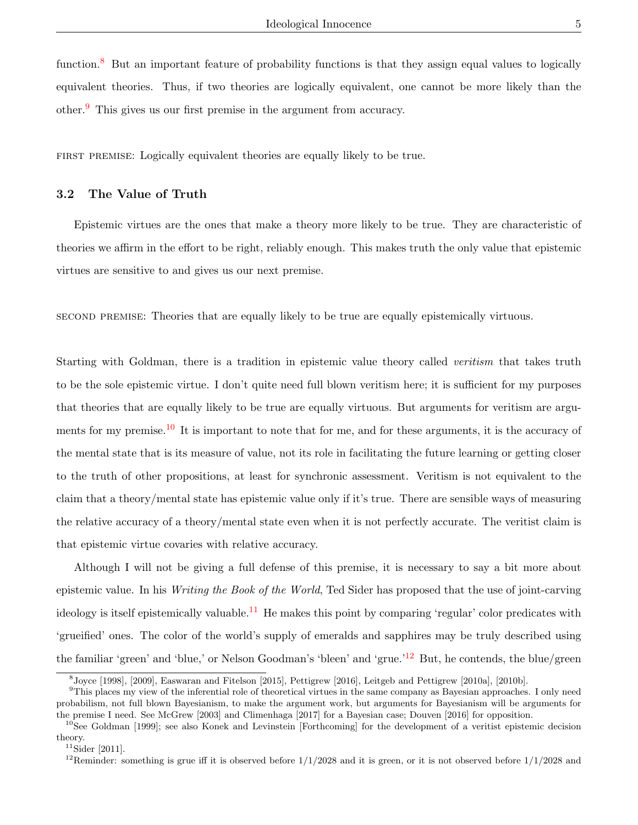function.<sup>[8](#page-0-0)</sup> But an important feature of probability functions is that they assign equal values to logically equivalent theories. Thus, if two theories are logically equivalent, one cannot be more likely than the other.[9](#page-0-0) This gives us our first premise in the argument from accuracy.

first premise: Logically equivalent theories are equally likely to be true.

### 3.2 The Value of Truth

Epistemic virtues are the ones that make a theory more likely to be true. They are characteristic of theories we affirm in the effort to be right, reliably enough. This makes truth the only value that epistemic virtues are sensitive to and gives us our next premise.

second premise: Theories that are equally likely to be true are equally epistemically virtuous.

Starting with Goldman, there is a tradition in epistemic value theory called *veritism* that takes truth to be the sole epistemic virtue. I don't quite need full blown veritism here; it is sufficient for my purposes that theories that are equally likely to be true are equally virtuous. But arguments for veritism are argu-ments for my premise.<sup>[10](#page-0-0)</sup> It is important to note that for me, and for these arguments, it is the accuracy of the mental state that is its measure of value, not its role in facilitating the future learning or getting closer to the truth of other propositions, at least for synchronic assessment. Veritism is not equivalent to the claim that a theory/mental state has epistemic value only if it's true. There are sensible ways of measuring the relative accuracy of a theory/mental state even when it is not perfectly accurate. The veritist claim is that epistemic virtue covaries with relative accuracy.

Although I will not be giving a full defense of this premise, it is necessary to say a bit more about epistemic value. In his Writing the Book of the World, Ted Sider has proposed that the use of joint-carving ideology is itself epistemically valuable.<sup>[11](#page-0-0)</sup> He makes this point by comparing 'regular' color predicates with 'grueified' ones. The color of the world's supply of emeralds and sapphires may be truly described using the familiar 'green' and 'blue,' or Nelson Goodman's 'bleen' and 'grue.'[12](#page-0-0) But, he contends, the blue/green

<sup>8</sup> Joyce [1998], [2009], Easwaran and Fitelson [2015], Pettigrew [2016], Leitgeb and Pettigrew [2010a], [2010b].

<sup>&</sup>lt;sup>9</sup>This places my view of the inferential role of theoretical virtues in the same company as Bayesian approaches. I only need probabilism, not full blown Bayesianism, to make the argument work, but arguments for Bayesianism will be arguments for the premise I need. See McGrew [2003] and Climenhaga [2017] for a Bayesian case; Douven [2016] for opposition.

<sup>&</sup>lt;sup>10</sup>See Goldman [1999]; see also Konek and Levinstein [Forthcoming] for the development of a veritist epistemic decision theory.

 $11$ Sider [2011].

<sup>&</sup>lt;sup>12</sup>Reminder: something is grue iff it is observed before  $1/1/2028$  and it is green, or it is not observed before  $1/1/2028$  and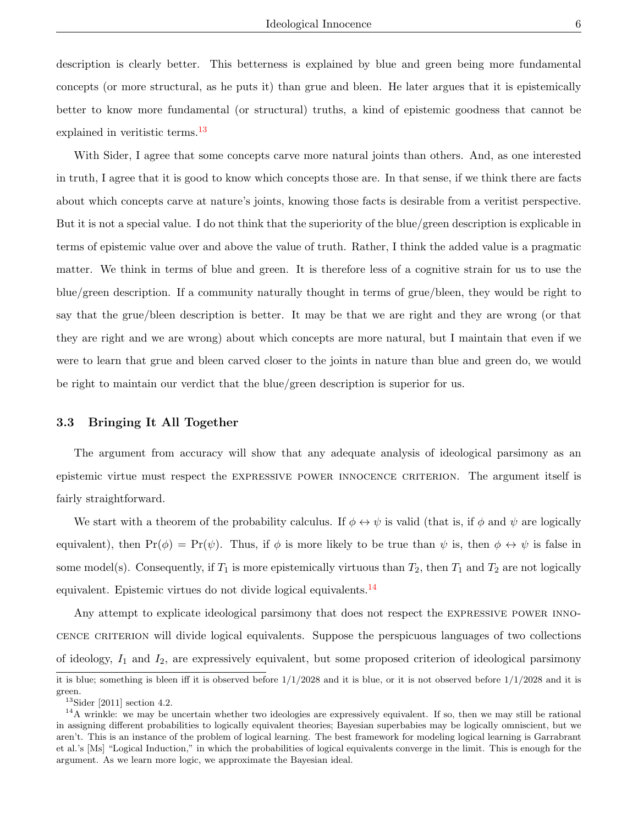description is clearly better. This betterness is explained by blue and green being more fundamental concepts (or more structural, as he puts it) than grue and bleen. He later argues that it is epistemically better to know more fundamental (or structural) truths, a kind of epistemic goodness that cannot be explained in verifistic terms.<sup>[13](#page-0-0)</sup>

With Sider, I agree that some concepts carve more natural joints than others. And, as one interested in truth, I agree that it is good to know which concepts those are. In that sense, if we think there are facts about which concepts carve at nature's joints, knowing those facts is desirable from a veritist perspective. But it is not a special value. I do not think that the superiority of the blue/green description is explicable in terms of epistemic value over and above the value of truth. Rather, I think the added value is a pragmatic matter. We think in terms of blue and green. It is therefore less of a cognitive strain for us to use the blue/green description. If a community naturally thought in terms of grue/bleen, they would be right to say that the grue/bleen description is better. It may be that we are right and they are wrong (or that they are right and we are wrong) about which concepts are more natural, but I maintain that even if we were to learn that grue and bleen carved closer to the joints in nature than blue and green do, we would be right to maintain our verdict that the blue/green description is superior for us.

#### 3.3 Bringing It All Together

The argument from accuracy will show that any adequate analysis of ideological parsimony as an epistemic virtue must respect the expressive power innocence criterion. The argument itself is fairly straightforward.

We start with a theorem of the probability calculus. If  $\phi \leftrightarrow \psi$  is valid (that is, if  $\phi$  and  $\psi$  are logically equivalent), then  $Pr(\phi) = Pr(\psi)$ . Thus, if  $\phi$  is more likely to be true than  $\psi$  is, then  $\phi \leftrightarrow \psi$  is false in some model(s). Consequently, if  $T_1$  is more epistemically virtuous than  $T_2$ , then  $T_1$  and  $T_2$  are not logically equivalent. Epistemic virtues do not divide logical equivalents.<sup>[14](#page-0-0)</sup>

Any attempt to explicate ideological parsimony that does not respect the EXPRESSIVE POWER INNOcence criterion will divide logical equivalents. Suppose the perspicuous languages of two collections of ideology,  $I_1$  and  $I_2$ , are expressively equivalent, but some proposed criterion of ideological parsimony

it is blue; something is bleen iff it is observed before  $1/1/2028$  and it is blue, or it is not observed before  $1/1/2028$  and it is green.

 $^{13}\rm{Sider}$  [2011] section 4.2.

<sup>&</sup>lt;sup>14</sup>A wrinkle: we may be uncertain whether two ideologies are expressively equivalent. If so, then we may still be rational in assigning different probabilities to logically equivalent theories; Bayesian superbabies may be logically omniscient, but we aren't. This is an instance of the problem of logical learning. The best framework for modeling logical learning is Garrabrant et al.'s [Ms] "Logical Induction," in which the probabilities of logical equivalents converge in the limit. This is enough for the argument. As we learn more logic, we approximate the Bayesian ideal.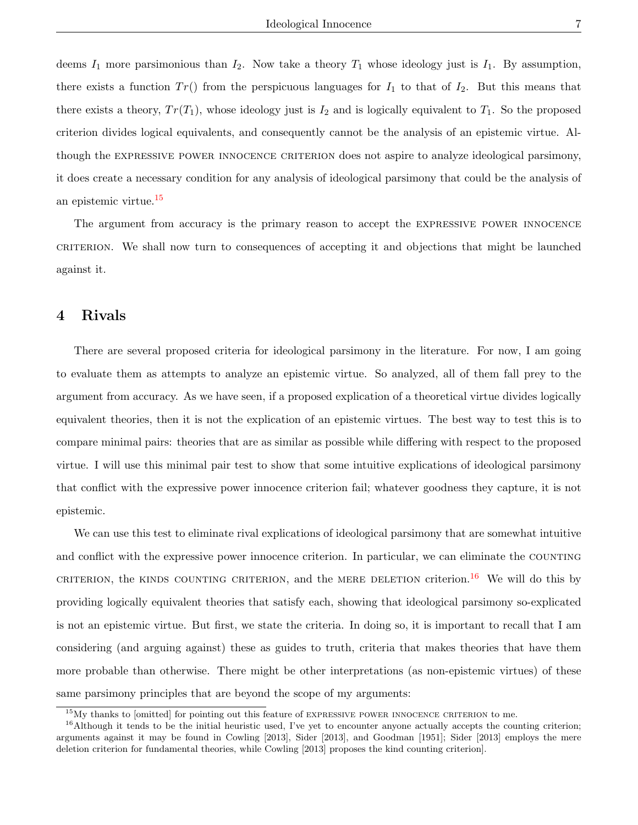deems  $I_1$  more parsimonious than  $I_2$ . Now take a theory  $T_1$  whose ideology just is  $I_1$ . By assumption, there exists a function  $Tr()$  from the perspicuous languages for  $I_1$  to that of  $I_2$ . But this means that there exists a theory,  $Tr(T_1)$ , whose ideology just is  $I_2$  and is logically equivalent to  $T_1$ . So the proposed criterion divides logical equivalents, and consequently cannot be the analysis of an epistemic virtue. Although the EXPRESSIVE POWER INNOCENCE CRITERION does not aspire to analyze ideological parsimony, it does create a necessary condition for any analysis of ideological parsimony that could be the analysis of an epistemic virtue.[15](#page-0-0)

The argument from accuracy is the primary reason to accept the expressive power innocence criterion. We shall now turn to consequences of accepting it and objections that might be launched against it.

# 4 Rivals

There are several proposed criteria for ideological parsimony in the literature. For now, I am going to evaluate them as attempts to analyze an epistemic virtue. So analyzed, all of them fall prey to the argument from accuracy. As we have seen, if a proposed explication of a theoretical virtue divides logically equivalent theories, then it is not the explication of an epistemic virtues. The best way to test this is to compare minimal pairs: theories that are as similar as possible while differing with respect to the proposed virtue. I will use this minimal pair test to show that some intuitive explications of ideological parsimony that conflict with the expressive power innocence criterion fail; whatever goodness they capture, it is not epistemic.

We can use this test to eliminate rival explications of ideological parsimony that are somewhat intuitive and conflict with the expressive power innocence criterion. In particular, we can eliminate the COUNTING CRITERION, the KINDS COUNTING CRITERION, and the MERE DELETION criterion.<sup>[16](#page-0-0)</sup> We will do this by providing logically equivalent theories that satisfy each, showing that ideological parsimony so-explicated is not an epistemic virtue. But first, we state the criteria. In doing so, it is important to recall that I am considering (and arguing against) these as guides to truth, criteria that makes theories that have them more probable than otherwise. There might be other interpretations (as non-epistemic virtues) of these same parsimony principles that are beyond the scope of my arguments:

<sup>&</sup>lt;sup>15</sup>My thanks to [omitted] for pointing out this feature of EXPRESSIVE POWER INNOCENCE CRITERION to me.

 $16$ Although it tends to be the initial heuristic used, I've yet to encounter anyone actually accepts the counting criterion; arguments against it may be found in Cowling [2013], Sider [2013], and Goodman [1951]; Sider [2013] employs the mere deletion criterion for fundamental theories, while Cowling [2013] proposes the kind counting criterion].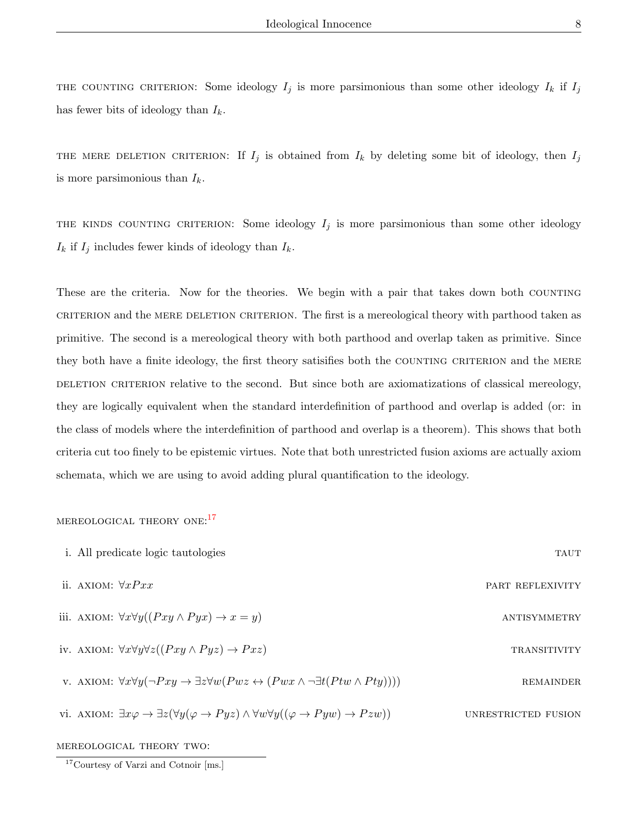THE COUNTING CRITERION: Some ideology  $I_j$  is more parsimonious than some other ideology  $I_k$  if  $I_j$ has fewer bits of ideology than  $I_k$ .

THE MERE DELETION CRITERION: If  $I_j$  is obtained from  $I_k$  by deleting some bit of ideology, then  $I_j$ is more parsimonious than  $I_k$ .

THE KINDS COUNTING CRITERION: Some ideology  $I_j$  is more parsimonious than some other ideology  $I_k$  if  $I_j$  includes fewer kinds of ideology than  $I_k$ .

These are the criteria. Now for the theories. We begin with a pair that takes down both COUNTING criterion and the mere deletion criterion. The first is a mereological theory with parthood taken as primitive. The second is a mereological theory with both parthood and overlap taken as primitive. Since they both have a finite ideology, the first theory satisifies both the COUNTING CRITERION and the MERE DELETION CRITERION relative to the second. But since both are axiomatizations of classical mereology, they are logically equivalent when the standard interdefinition of parthood and overlap is added (or: in the class of models where the interdefinition of parthood and overlap is a theorem). This shows that both criteria cut too finely to be epistemic virtues. Note that both unrestricted fusion axioms are actually axiom schemata, which we are using to avoid adding plural quantification to the ideology.

# MEREOLOGICAL THEORY ONE:<sup>[17](#page-0-0)</sup>

| i. All predicate logic tautologies                                                                                                                               | <b>TAUT</b>         |
|------------------------------------------------------------------------------------------------------------------------------------------------------------------|---------------------|
| ii. AXIOM: $\forall x P x x$                                                                                                                                     | PART REFLEXIVITY    |
| iii. AXIOM: $\forall x \forall y ((Pxy \land Pyx) \rightarrow x = y)$                                                                                            | ANTISYMMETRY        |
| iv. AXIOM: $\forall x \forall y \forall z ((Pxy \land Pyz) \rightarrow Pxz)$                                                                                     | <b>TRANSITIVITY</b> |
| v. AXIOM: $\forall x \forall y (\neg Pxy \rightarrow \exists z \forall w (Pwz \leftrightarrow (Pwx \land \neg \exists t (Ptw \land Pty))))$                      | <b>REMAINDER</b>    |
| vi. AXIOM: $\exists x \varphi \rightarrow \exists z (\forall y (\varphi \rightarrow Pyz) \land \forall w \forall y ((\varphi \rightarrow Pyw) \rightarrow Pzw))$ | UNRESTRICTED FUSION |

mereological theory two:

<sup>17</sup>Courtesy of Varzi and Cotnoir [ms.]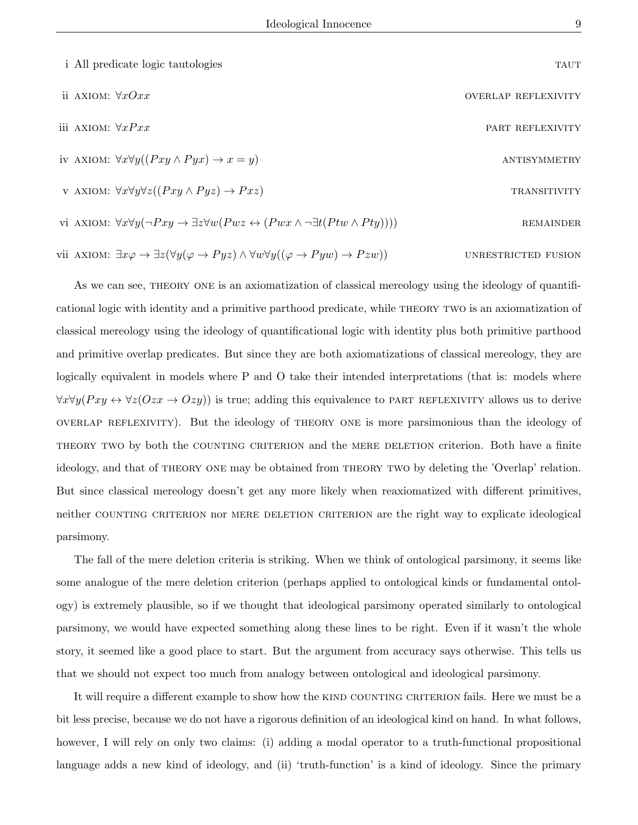| i All predicate logic tautologies                                                                                                           | <b>TAUT</b>                |
|---------------------------------------------------------------------------------------------------------------------------------------------|----------------------------|
| ii AXIOM: $\forall xOxx$                                                                                                                    | <b>OVERLAP REFLEXIVITY</b> |
| iii AXIOM: $\forall x P x x$                                                                                                                | PART REFLEXIVITY           |
| iv AXIOM: $\forall x \forall y ((Pxy \land Pyx) \rightarrow x = y)$                                                                         | ANTISYMMETRY               |
| v AXIOM: $\forall x \forall y \forall z ((Pxy \land Pyz) \rightarrow Pxz)$                                                                  | <b>TRANSITIVITY</b>        |
| vi AXIOM: $\forall x \forall y (\neg Pxy \rightarrow \exists z \forall w (Pwx \leftrightarrow (Pwx \land \neg \exists t (Ptw \land Pty))))$ | <b>REMAINDER</b>           |
|                                                                                                                                             |                            |

vii AXIOM:  $\exists x \varphi \rightarrow \exists z (\forall y (\varphi \rightarrow Pyz) \land \forall w \forall y ((\varphi \rightarrow Pyw) \rightarrow Pzw))$  UNRESTRICTED FUSION

As we can see, theory one is an axiomatization of classical mereology using the ideology of quantificational logic with identity and a primitive parthood predicate, while theory two is an axiomatization of classical mereology using the ideology of quantificational logic with identity plus both primitive parthood and primitive overlap predicates. But since they are both axiomatizations of classical mereology, they are logically equivalent in models where P and O take their intended interpretations (that is: models where  $\forall x \forall y (Pxy \leftrightarrow \forall z (Ozx \rightarrow Ozy))$  is true; adding this equivalence to PART REFLEXIVITY allows us to derive overlap reflexivity). But the ideology of theory one is more parsimonious than the ideology of THEORY TWO by both the COUNTING CRITERION and the MERE DELETION criterion. Both have a finite ideology, and that of theory one may be obtained from theory two by deleting the 'Overlap' relation. But since classical mereology doesn't get any more likely when reaxiomatized with different primitives, neither COUNTING CRITERION nor MERE DELETION CRITERION are the right way to explicate ideological parsimony.

The fall of the mere deletion criteria is striking. When we think of ontological parsimony, it seems like some analogue of the mere deletion criterion (perhaps applied to ontological kinds or fundamental ontology) is extremely plausible, so if we thought that ideological parsimony operated similarly to ontological parsimony, we would have expected something along these lines to be right. Even if it wasn't the whole story, it seemed like a good place to start. But the argument from accuracy says otherwise. This tells us that we should not expect too much from analogy between ontological and ideological parsimony.

It will require a different example to show how the KIND COUNTING CRITERION fails. Here we must be a bit less precise, because we do not have a rigorous definition of an ideological kind on hand. In what follows, however, I will rely on only two claims: (i) adding a modal operator to a truth-functional propositional language adds a new kind of ideology, and (ii) 'truth-function' is a kind of ideology. Since the primary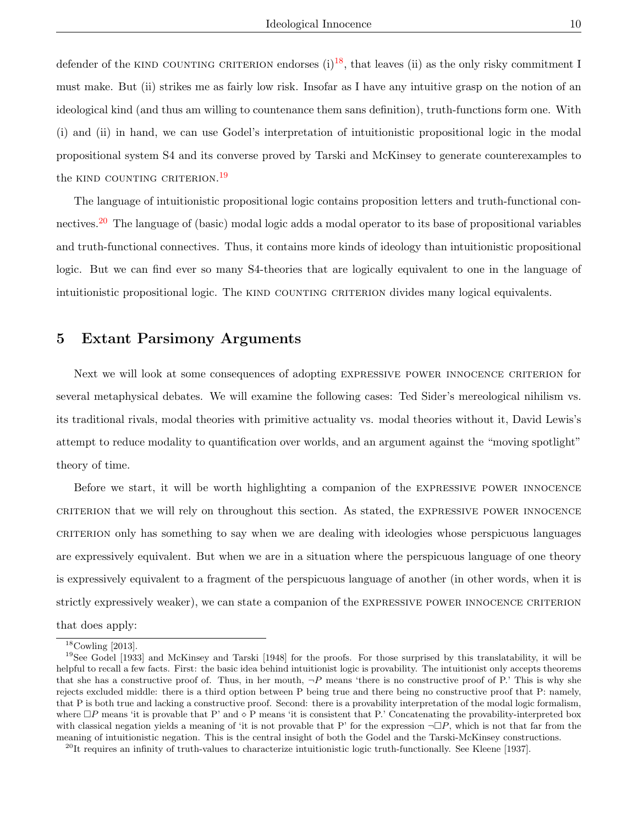defender of the KIND COUNTING CRITERION endorses  $(i)^{18}$  $(i)^{18}$  $(i)^{18}$ , that leaves (ii) as the only risky commitment I must make. But (ii) strikes me as fairly low risk. Insofar as I have any intuitive grasp on the notion of an ideological kind (and thus am willing to countenance them sans definition), truth-functions form one. With (i) and (ii) in hand, we can use Godel's interpretation of intuitionistic propositional logic in the modal propositional system S4 and its converse proved by Tarski and McKinsey to generate counterexamples to the kind counting criterion.<sup>[19](#page-0-0)</sup>

The language of intuitionistic propositional logic contains proposition letters and truth-functional connectives.[20](#page-0-0) The language of (basic) modal logic adds a modal operator to its base of propositional variables and truth-functional connectives. Thus, it contains more kinds of ideology than intuitionistic propositional logic. But we can find ever so many S4-theories that are logically equivalent to one in the language of intuitionistic propositional logic. The KIND COUNTING CRITERION divides many logical equivalents.

## 5 Extant Parsimony Arguments

Next we will look at some consequences of adopting expressive power innocence criterion for several metaphysical debates. We will examine the following cases: Ted Sider's mereological nihilism vs. its traditional rivals, modal theories with primitive actuality vs. modal theories without it, David Lewis's attempt to reduce modality to quantification over worlds, and an argument against the "moving spotlight" theory of time.

Before we start, it will be worth highlighting a companion of the EXPRESSIVE POWER INNOCENCE criterion that we will rely on throughout this section. As stated, the expressive power innocence criterion only has something to say when we are dealing with ideologies whose perspicuous languages are expressively equivalent. But when we are in a situation where the perspicuous language of one theory is expressively equivalent to a fragment of the perspicuous language of another (in other words, when it is strictly expressively weaker), we can state a companion of the EXPRESSIVE POWER INNOCENCE CRITERION

that does apply:

 $18$ Cowling [2013].

<sup>&</sup>lt;sup>19</sup>See Godel [1933] and McKinsey and Tarski [1948] for the proofs. For those surprised by this translatability, it will be helpful to recall a few facts. First: the basic idea behind intuitionist logic is provability. The intuitionist only accepts theorems that she has a constructive proof of. Thus, in her mouth,  $\neg P$  means 'there is no constructive proof of P.' This is why she rejects excluded middle: there is a third option between P being true and there being no constructive proof that P: namely, that P is both true and lacking a constructive proof. Second: there is a provability interpretation of the modal logic formalism, where  $\Box P$  means 'it is provable that P' and  $\diamond$  P means 'it is consistent that P.' Concatenating the provability-interpreted box with classical negation yields a meaning of 'it is not provable that P' for the expression  $\neg\Box P$ , which is not that far from the meaning of intuitionistic negation. This is the central insight of both the Godel and the Tarski-McKinsey constructions.

 $^{20}$ It requires an infinity of truth-values to characterize intuitionistic logic truth-functionally. See Kleene [1937].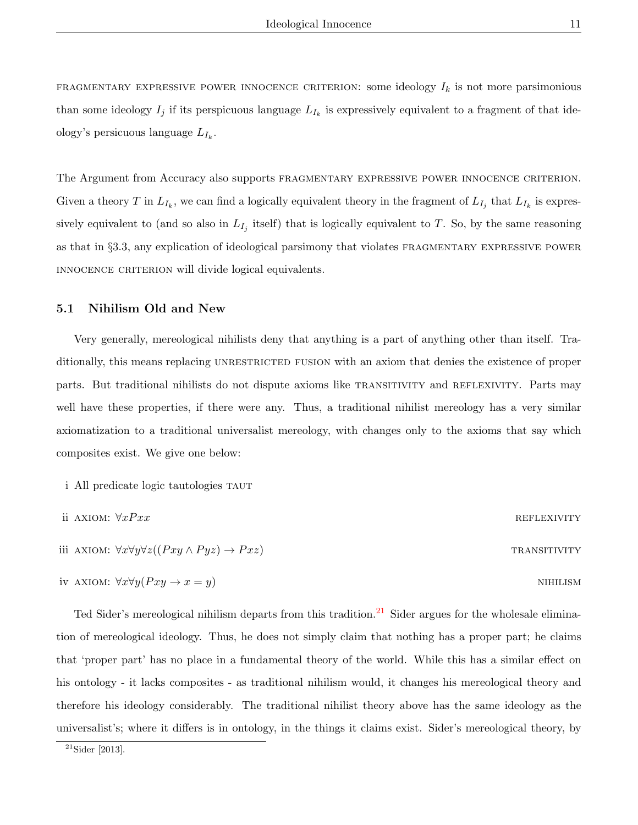FRAGMENTARY EXPRESSIVE POWER INNOCENCE CRITERION: some ideology  $I_k$  is not more parsimonious than some ideology  $I_j$  if its perspicuous language  $L_{I_k}$  is expressively equivalent to a fragment of that ideology's persicuous language  $L_{I_k}$ .

The Argument from Accuracy also supports FRAGMENTARY EXPRESSIVE POWER INNOCENCE CRITERION. Given a theory T in  $L_{I_k}$ , we can find a logically equivalent theory in the fragment of  $L_{I_j}$  that  $L_{I_k}$  is expressively equivalent to (and so also in  $L_{I_j}$  itself) that is logically equivalent to T. So, by the same reasoning as that in §3.3, any explication of ideological parsimony that violates FRAGMENTARY EXPRESSIVE POWER innocence criterion will divide logical equivalents.

### 5.1 Nihilism Old and New

Very generally, mereological nihilists deny that anything is a part of anything other than itself. Traditionally, this means replacing UNRESTRICTED FUSION with an axiom that denies the existence of proper parts. But traditional nihilists do not dispute axioms like TRANSITIVITY and REFLEXIVITY. Parts may well have these properties, if there were any. Thus, a traditional nihilist mereology has a very similar axiomatization to a traditional universalist mereology, with changes only to the axioms that say which composites exist. We give one below:

i All predicate logic tautologies taut

ii AXIOM: 
$$
\forall x Pxx
$$
  
REFLEXIVITY  
iii AXIOM:  $\forall x \forall y \forall z ((Pxy \land Pyz) \rightarrow Pxz)$   
TRANSITIVITY

iv axiom: 
$$
\forall x \forall y (Pxy \rightarrow x = y)
$$

Ted Sider's mereological nihilism departs from this tradition.<sup>[21](#page-0-0)</sup> Sider argues for the wholesale elimination of mereological ideology. Thus, he does not simply claim that nothing has a proper part; he claims that 'proper part' has no place in a fundamental theory of the world. While this has a similar effect on his ontology - it lacks composites - as traditional nihilism would, it changes his mereological theory and therefore his ideology considerably. The traditional nihilist theory above has the same ideology as the universalist's; where it differs is in ontology, in the things it claims exist. Sider's mereological theory, by

 $21$ Sider [2013].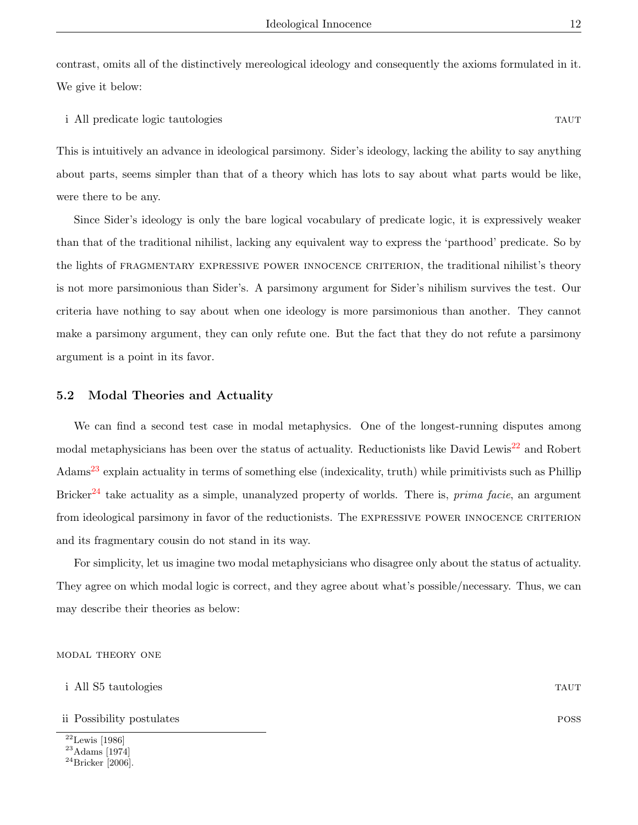contrast, omits all of the distinctively mereological ideology and consequently the axioms formulated in it. We give it below:

i All predicate logic tautologies tautor and the set of the set of the set of the set of the set of the set of the set of the set of the set of the set of the set of the set of the set of the set of the set of the set of t

This is intuitively an advance in ideological parsimony. Sider's ideology, lacking the ability to say anything about parts, seems simpler than that of a theory which has lots to say about what parts would be like, were there to be any.

Since Sider's ideology is only the bare logical vocabulary of predicate logic, it is expressively weaker than that of the traditional nihilist, lacking any equivalent way to express the 'parthood' predicate. So by the lights of FRAGMENTARY EXPRESSIVE POWER INNOCENCE CRITERION, the traditional nihilist's theory is not more parsimonious than Sider's. A parsimony argument for Sider's nihilism survives the test. Our criteria have nothing to say about when one ideology is more parsimonious than another. They cannot make a parsimony argument, they can only refute one. But the fact that they do not refute a parsimony argument is a point in its favor.

#### 5.2 Modal Theories and Actuality

We can find a second test case in modal metaphysics. One of the longest-running disputes among modal metaphysicians has been over the status of actuality. Reductionists like David Lewis<sup>[22](#page-0-0)</sup> and Robert Adams[23](#page-0-0) explain actuality in terms of something else (indexicality, truth) while primitivists such as Phillip Bricker<sup>[24](#page-0-0)</sup> take actuality as a simple, unanalyzed property of worlds. There is, *prima facie*, an argument from ideological parsimony in favor of the reductionists. The EXPRESSIVE POWER INNOCENCE CRITERION and its fragmentary cousin do not stand in its way.

For simplicity, let us imagine two modal metaphysicians who disagree only about the status of actuality. They agree on which modal logic is correct, and they agree about what's possible/necessary. Thus, we can may describe their theories as below:

#### modal theory one

| i All S5 tautologies | TAUT |
|----------------------|------|
|----------------------|------|

- ii Possibility postulates possession in the possibility postulates possession in the possibility postulates poss
- $\overline{^{22}}$ Lewis [1986]

<sup>23</sup>Adams [1974]

 $^{24}$ Bricker [2006].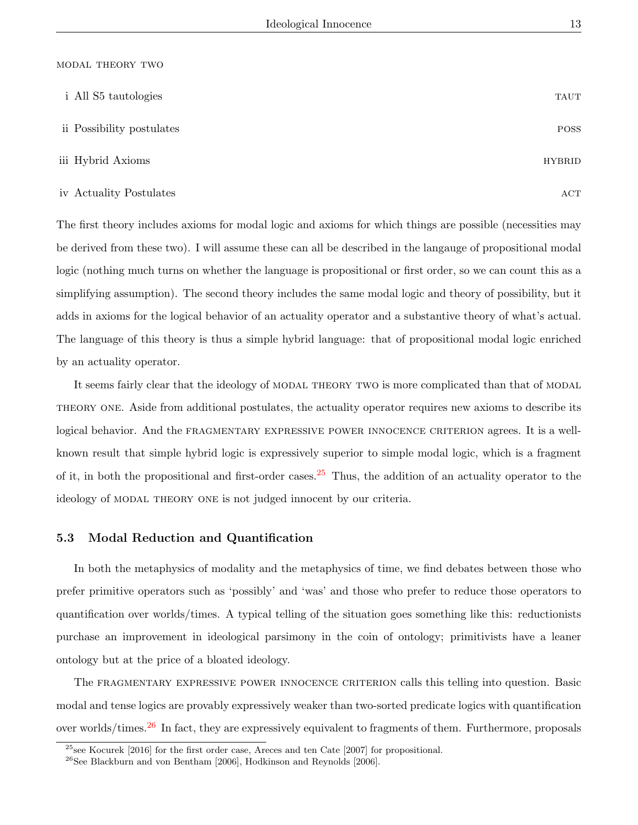#### modal theory two

| i All S5 tautologies      | <b>TAUT</b>   |
|---------------------------|---------------|
| ii Possibility postulates | <b>POSS</b>   |
| iii Hybrid Axioms         | <b>HYBRID</b> |
| iv Actuality Postulates   | ACT           |

The first theory includes axioms for modal logic and axioms for which things are possible (necessities may be derived from these two). I will assume these can all be described in the langauge of propositional modal logic (nothing much turns on whether the language is propositional or first order, so we can count this as a simplifying assumption). The second theory includes the same modal logic and theory of possibility, but it adds in axioms for the logical behavior of an actuality operator and a substantive theory of what's actual. The language of this theory is thus a simple hybrid language: that of propositional modal logic enriched by an actuality operator.

It seems fairly clear that the ideology of MODAL THEORY TWO is more complicated than that of MODAL theory one. Aside from additional postulates, the actuality operator requires new axioms to describe its logical behavior. And the FRAGMENTARY EXPRESSIVE POWER INNOCENCE CRITERION agrees. It is a wellknown result that simple hybrid logic is expressively superior to simple modal logic, which is a fragment of it, in both the propositional and first-order cases.  $25$  Thus, the addition of an actuality operator to the ideology of MODAL THEORY ONE is not judged innocent by our criteria.

#### 5.3 Modal Reduction and Quantification

In both the metaphysics of modality and the metaphysics of time, we find debates between those who prefer primitive operators such as 'possibly' and 'was' and those who prefer to reduce those operators to quantification over worlds/times. A typical telling of the situation goes something like this: reductionists purchase an improvement in ideological parsimony in the coin of ontology; primitivists have a leaner ontology but at the price of a bloated ideology.

The FRAGMENTARY EXPRESSIVE POWER INNOCENCE CRITERION calls this telling into question. Basic modal and tense logics are provably expressively weaker than two-sorted predicate logics with quantification over worlds/times.[26](#page-0-0) In fact, they are expressively equivalent to fragments of them. Furthermore, proposals

<sup>25</sup>see Kocurek [2016] for the first order case, Areces and ten Cate [2007] for propositional.

 $^{26}$ See Blackburn and von Bentham [2006], Hodkinson and Reynolds [2006].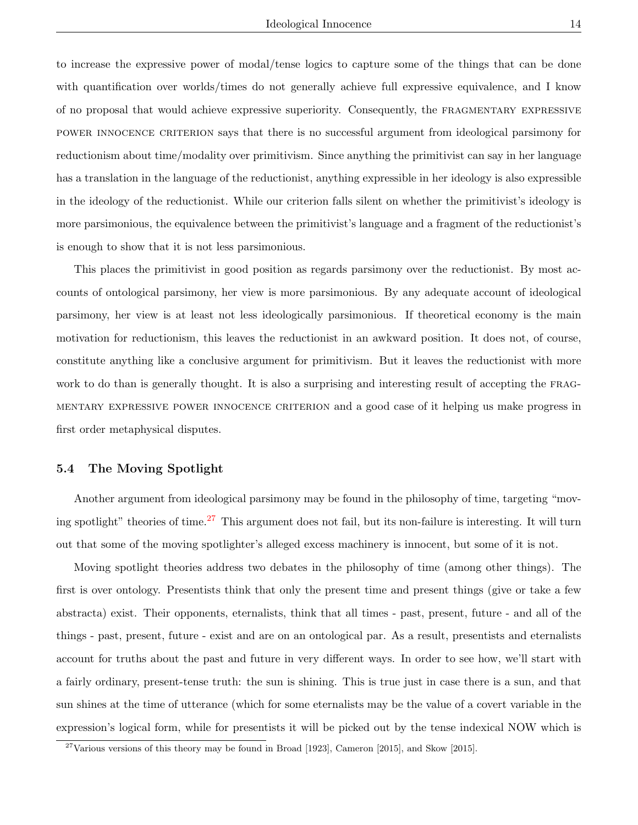to increase the expressive power of modal/tense logics to capture some of the things that can be done with quantification over worlds/times do not generally achieve full expressive equivalence, and I know of no proposal that would achieve expressive superiority. Consequently, the fragmentary expressive power innocence criterion says that there is no successful argument from ideological parsimony for reductionism about time/modality over primitivism. Since anything the primitivist can say in her language has a translation in the language of the reductionist, anything expressible in her ideology is also expressible in the ideology of the reductionist. While our criterion falls silent on whether the primitivist's ideology is more parsimonious, the equivalence between the primitivist's language and a fragment of the reductionist's is enough to show that it is not less parsimonious.

This places the primitivist in good position as regards parsimony over the reductionist. By most accounts of ontological parsimony, her view is more parsimonious. By any adequate account of ideological parsimony, her view is at least not less ideologically parsimonious. If theoretical economy is the main motivation for reductionism, this leaves the reductionist in an awkward position. It does not, of course, constitute anything like a conclusive argument for primitivism. But it leaves the reductionist with more work to do than is generally thought. It is also a surprising and interesting result of accepting the FRAGmentary expressive power innocence criterion and a good case of it helping us make progress in first order metaphysical disputes.

#### 5.4 The Moving Spotlight

Another argument from ideological parsimony may be found in the philosophy of time, targeting "mov-ing spotlight" theories of time.<sup>[27](#page-0-0)</sup> This argument does not fail, but its non-failure is interesting. It will turn out that some of the moving spotlighter's alleged excess machinery is innocent, but some of it is not.

Moving spotlight theories address two debates in the philosophy of time (among other things). The first is over ontology. Presentists think that only the present time and present things (give or take a few abstracta) exist. Their opponents, eternalists, think that all times - past, present, future - and all of the things - past, present, future - exist and are on an ontological par. As a result, presentists and eternalists account for truths about the past and future in very different ways. In order to see how, we'll start with a fairly ordinary, present-tense truth: the sun is shining. This is true just in case there is a sun, and that sun shines at the time of utterance (which for some eternalists may be the value of a covert variable in the expression's logical form, while for presentists it will be picked out by the tense indexical NOW which is

 $27$ Various versions of this theory may be found in Broad [1923], Cameron [2015], and Skow [2015].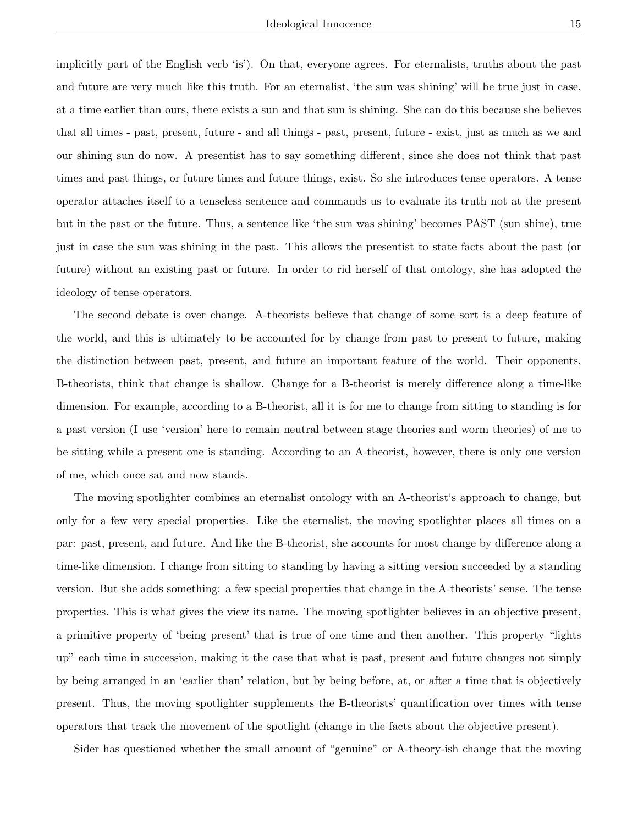implicitly part of the English verb 'is'). On that, everyone agrees. For eternalists, truths about the past and future are very much like this truth. For an eternalist, 'the sun was shining' will be true just in case, at a time earlier than ours, there exists a sun and that sun is shining. She can do this because she believes that all times - past, present, future - and all things - past, present, future - exist, just as much as we and our shining sun do now. A presentist has to say something different, since she does not think that past times and past things, or future times and future things, exist. So she introduces tense operators. A tense operator attaches itself to a tenseless sentence and commands us to evaluate its truth not at the present but in the past or the future. Thus, a sentence like 'the sun was shining' becomes PAST (sun shine), true just in case the sun was shining in the past. This allows the presentist to state facts about the past (or future) without an existing past or future. In order to rid herself of that ontology, she has adopted the ideology of tense operators.

The second debate is over change. A-theorists believe that change of some sort is a deep feature of the world, and this is ultimately to be accounted for by change from past to present to future, making the distinction between past, present, and future an important feature of the world. Their opponents, B-theorists, think that change is shallow. Change for a B-theorist is merely difference along a time-like dimension. For example, according to a B-theorist, all it is for me to change from sitting to standing is for a past version (I use 'version' here to remain neutral between stage theories and worm theories) of me to be sitting while a present one is standing. According to an A-theorist, however, there is only one version of me, which once sat and now stands.

The moving spotlighter combines an eternalist ontology with an A-theorist's approach to change, but only for a few very special properties. Like the eternalist, the moving spotlighter places all times on a par: past, present, and future. And like the B-theorist, she accounts for most change by difference along a time-like dimension. I change from sitting to standing by having a sitting version succeeded by a standing version. But she adds something: a few special properties that change in the A-theorists' sense. The tense properties. This is what gives the view its name. The moving spotlighter believes in an objective present, a primitive property of 'being present' that is true of one time and then another. This property "lights up" each time in succession, making it the case that what is past, present and future changes not simply by being arranged in an 'earlier than' relation, but by being before, at, or after a time that is objectively present. Thus, the moving spotlighter supplements the B-theorists' quantification over times with tense operators that track the movement of the spotlight (change in the facts about the objective present).

Sider has questioned whether the small amount of "genuine" or A-theory-ish change that the moving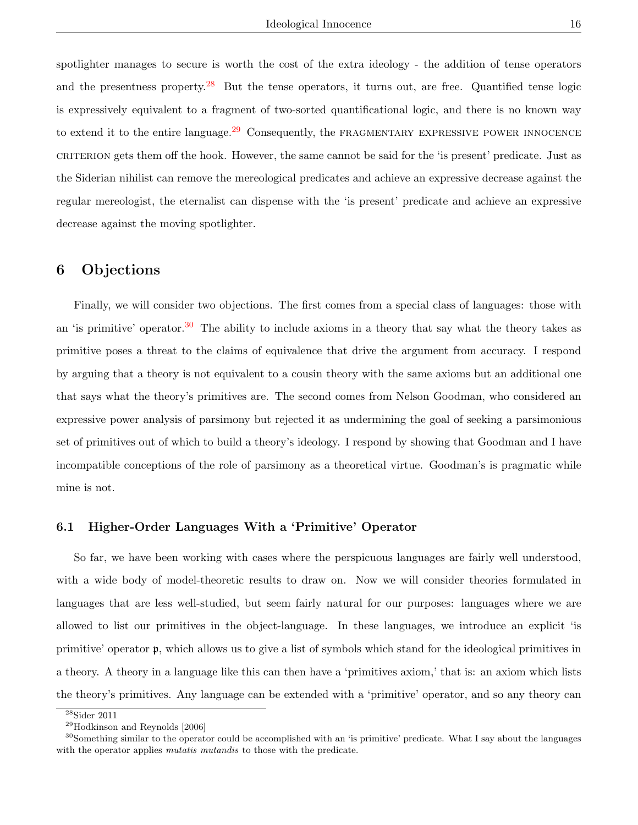spotlighter manages to secure is worth the cost of the extra ideology - the addition of tense operators and the presentness property.<sup>[28](#page-0-0)</sup> But the tense operators, it turns out, are free. Quantified tense logic is expressively equivalent to a fragment of two-sorted quantificational logic, and there is no known way to extend it to the entire language.<sup>[29](#page-0-0)</sup> Consequently, the FRAGMENTARY EXPRESSIVE POWER INNOCENCE criterion gets them off the hook. However, the same cannot be said for the 'is present' predicate. Just as the Siderian nihilist can remove the mereological predicates and achieve an expressive decrease against the regular mereologist, the eternalist can dispense with the 'is present' predicate and achieve an expressive decrease against the moving spotlighter.

## 6 Objections

Finally, we will consider two objections. The first comes from a special class of languages: those with an 'is primitive' operator.<sup>[30](#page-0-0)</sup> The ability to include axioms in a theory that say what the theory takes as primitive poses a threat to the claims of equivalence that drive the argument from accuracy. I respond by arguing that a theory is not equivalent to a cousin theory with the same axioms but an additional one that says what the theory's primitives are. The second comes from Nelson Goodman, who considered an expressive power analysis of parsimony but rejected it as undermining the goal of seeking a parsimonious set of primitives out of which to build a theory's ideology. I respond by showing that Goodman and I have incompatible conceptions of the role of parsimony as a theoretical virtue. Goodman's is pragmatic while mine is not.

### 6.1 Higher-Order Languages With a 'Primitive' Operator

So far, we have been working with cases where the perspicuous languages are fairly well understood, with a wide body of model-theoretic results to draw on. Now we will consider theories formulated in languages that are less well-studied, but seem fairly natural for our purposes: languages where we are allowed to list our primitives in the object-language. In these languages, we introduce an explicit 'is primitive' operator p, which allows us to give a list of symbols which stand for the ideological primitives in a theory. A theory in a language like this can then have a 'primitives axiom,' that is: an axiom which lists the theory's primitives. Any language can be extended with a 'primitive' operator, and so any theory can

<sup>28</sup>Sider 2011

<sup>29</sup>Hodkinson and Reynolds [2006]

<sup>&</sup>lt;sup>30</sup>Something similar to the operator could be accomplished with an 'is primitive' predicate. What I say about the languages with the operator applies *mutatis mutandis* to those with the predicate.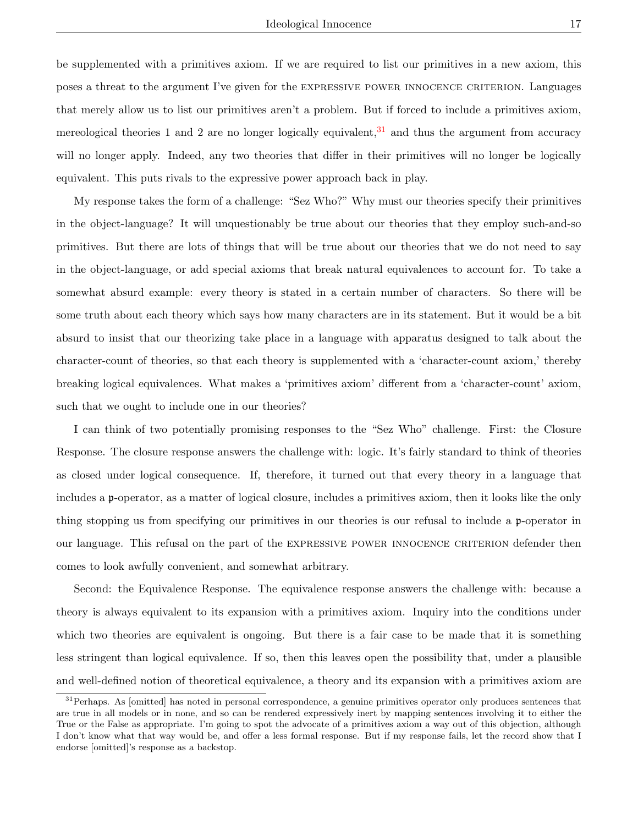be supplemented with a primitives axiom. If we are required to list our primitives in a new axiom, this poses a threat to the argument I've given for the expressive power innocence criterion. Languages that merely allow us to list our primitives aren't a problem. But if forced to include a primitives axiom, mereological theories 1 and 2 are no longer logically equivalent,  $31$  and thus the argument from accuracy will no longer apply. Indeed, any two theories that differ in their primitives will no longer be logically equivalent. This puts rivals to the expressive power approach back in play.

My response takes the form of a challenge: "Sez Who?" Why must our theories specify their primitives in the object-language? It will unquestionably be true about our theories that they employ such-and-so primitives. But there are lots of things that will be true about our theories that we do not need to say in the object-language, or add special axioms that break natural equivalences to account for. To take a somewhat absurd example: every theory is stated in a certain number of characters. So there will be some truth about each theory which says how many characters are in its statement. But it would be a bit absurd to insist that our theorizing take place in a language with apparatus designed to talk about the character-count of theories, so that each theory is supplemented with a 'character-count axiom,' thereby breaking logical equivalences. What makes a 'primitives axiom' different from a 'character-count' axiom, such that we ought to include one in our theories?

I can think of two potentially promising responses to the "Sez Who" challenge. First: the Closure Response. The closure response answers the challenge with: logic. It's fairly standard to think of theories as closed under logical consequence. If, therefore, it turned out that every theory in a language that includes a p-operator, as a matter of logical closure, includes a primitives axiom, then it looks like the only thing stopping us from specifying our primitives in our theories is our refusal to include a p-operator in our language. This refusal on the part of the expressive power innocence criterion defender then comes to look awfully convenient, and somewhat arbitrary.

Second: the Equivalence Response. The equivalence response answers the challenge with: because a theory is always equivalent to its expansion with a primitives axiom. Inquiry into the conditions under which two theories are equivalent is ongoing. But there is a fair case to be made that it is something less stringent than logical equivalence. If so, then this leaves open the possibility that, under a plausible and well-defined notion of theoretical equivalence, a theory and its expansion with a primitives axiom are

<sup>&</sup>lt;sup>31</sup> Perhaps. As [omitted] has noted in personal correspondence, a genuine primitives operator only produces sentences that are true in all models or in none, and so can be rendered expressively inert by mapping sentences involving it to either the True or the False as appropriate. I'm going to spot the advocate of a primitives axiom a way out of this objection, although I don't know what that way would be, and offer a less formal response. But if my response fails, let the record show that I endorse [omitted]'s response as a backstop.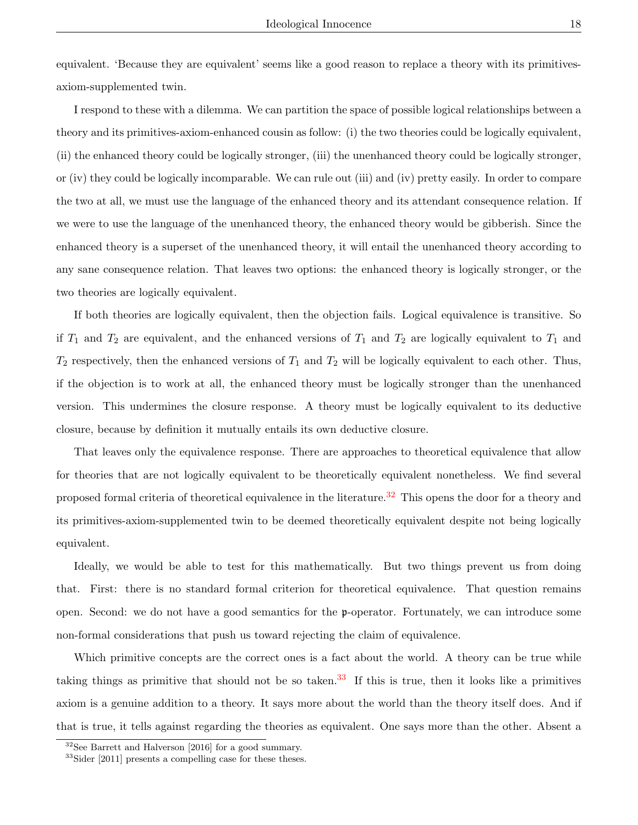equivalent. 'Because they are equivalent' seems like a good reason to replace a theory with its primitivesaxiom-supplemented twin.

I respond to these with a dilemma. We can partition the space of possible logical relationships between a theory and its primitives-axiom-enhanced cousin as follow: (i) the two theories could be logically equivalent, (ii) the enhanced theory could be logically stronger, (iii) the unenhanced theory could be logically stronger, or (iv) they could be logically incomparable. We can rule out (iii) and (iv) pretty easily. In order to compare the two at all, we must use the language of the enhanced theory and its attendant consequence relation. If we were to use the language of the unenhanced theory, the enhanced theory would be gibberish. Since the enhanced theory is a superset of the unenhanced theory, it will entail the unenhanced theory according to any sane consequence relation. That leaves two options: the enhanced theory is logically stronger, or the two theories are logically equivalent.

If both theories are logically equivalent, then the objection fails. Logical equivalence is transitive. So if  $T_1$  and  $T_2$  are equivalent, and the enhanced versions of  $T_1$  and  $T_2$  are logically equivalent to  $T_1$  and  $T_2$  respectively, then the enhanced versions of  $T_1$  and  $T_2$  will be logically equivalent to each other. Thus, if the objection is to work at all, the enhanced theory must be logically stronger than the unenhanced version. This undermines the closure response. A theory must be logically equivalent to its deductive closure, because by definition it mutually entails its own deductive closure.

That leaves only the equivalence response. There are approaches to theoretical equivalence that allow for theories that are not logically equivalent to be theoretically equivalent nonetheless. We find several proposed formal criteria of theoretical equivalence in the literature.<sup>[32](#page-0-0)</sup> This opens the door for a theory and its primitives-axiom-supplemented twin to be deemed theoretically equivalent despite not being logically equivalent.

Ideally, we would be able to test for this mathematically. But two things prevent us from doing that. First: there is no standard formal criterion for theoretical equivalence. That question remains open. Second: we do not have a good semantics for the p-operator. Fortunately, we can introduce some non-formal considerations that push us toward rejecting the claim of equivalence.

Which primitive concepts are the correct ones is a fact about the world. A theory can be true while taking things as primitive that should not be so taken.<sup>[33](#page-0-0)</sup> If this is true, then it looks like a primitives axiom is a genuine addition to a theory. It says more about the world than the theory itself does. And if that is true, it tells against regarding the theories as equivalent. One says more than the other. Absent a

 $32$ See Barrett and Halverson [2016] for a good summary.

<sup>33</sup>Sider [2011] presents a compelling case for these theses.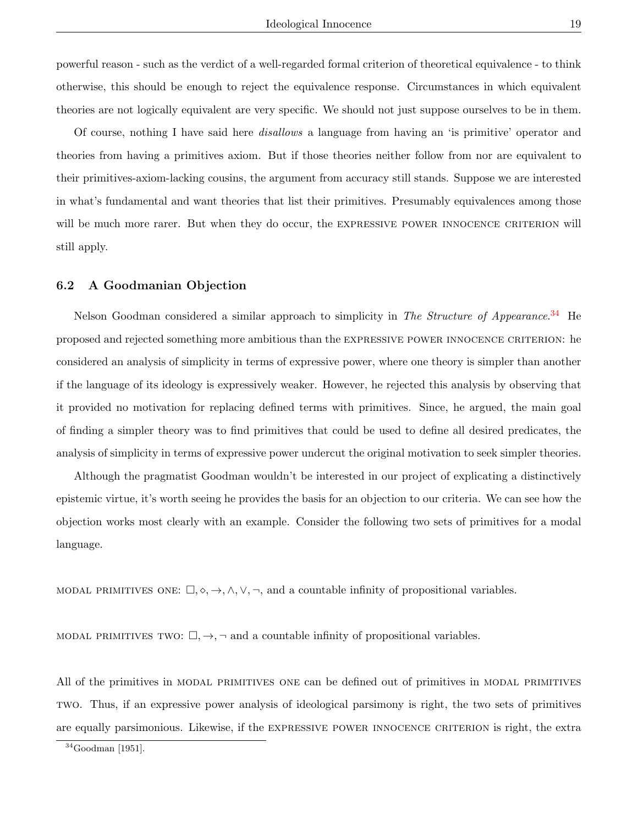powerful reason - such as the verdict of a well-regarded formal criterion of theoretical equivalence - to think otherwise, this should be enough to reject the equivalence response. Circumstances in which equivalent theories are not logically equivalent are very specific. We should not just suppose ourselves to be in them.

Of course, nothing I have said here disallows a language from having an 'is primitive' operator and theories from having a primitives axiom. But if those theories neither follow from nor are equivalent to their primitives-axiom-lacking cousins, the argument from accuracy still stands. Suppose we are interested in what's fundamental and want theories that list their primitives. Presumably equivalences among those will be much more rarer. But when they do occur, the EXPRESSIVE POWER INNOCENCE CRITERION will still apply.

### 6.2 A Goodmanian Objection

Nelson Goodman considered a similar approach to simplicity in The Structure of Appearance.<sup>[34](#page-0-0)</sup> He proposed and rejected something more ambitious than the expressive power innocence criterion: he considered an analysis of simplicity in terms of expressive power, where one theory is simpler than another if the language of its ideology is expressively weaker. However, he rejected this analysis by observing that it provided no motivation for replacing defined terms with primitives. Since, he argued, the main goal of finding a simpler theory was to find primitives that could be used to define all desired predicates, the analysis of simplicity in terms of expressive power undercut the original motivation to seek simpler theories.

Although the pragmatist Goodman wouldn't be interested in our project of explicating a distinctively epistemic virtue, it's worth seeing he provides the basis for an objection to our criteria. We can see how the objection works most clearly with an example. Consider the following two sets of primitives for a modal language.

MODAL PRIMITIVES ONE:  $\Box, \Diamond, \rightarrow, \land, \lor, \neg$ , and a countable infinity of propositional variables.

MODAL PRIMITIVES TWO:  $\Box$ ,  $\rightarrow$ ,  $\neg$  and a countable infinity of propositional variables.

All of the primitives in modal primitives one can be defined out of primitives in modal primitives two. Thus, if an expressive power analysis of ideological parsimony is right, the two sets of primitives are equally parsimonious. Likewise, if the expressive power innocence criterion is right, the extra

 $34$ Goodman [1951].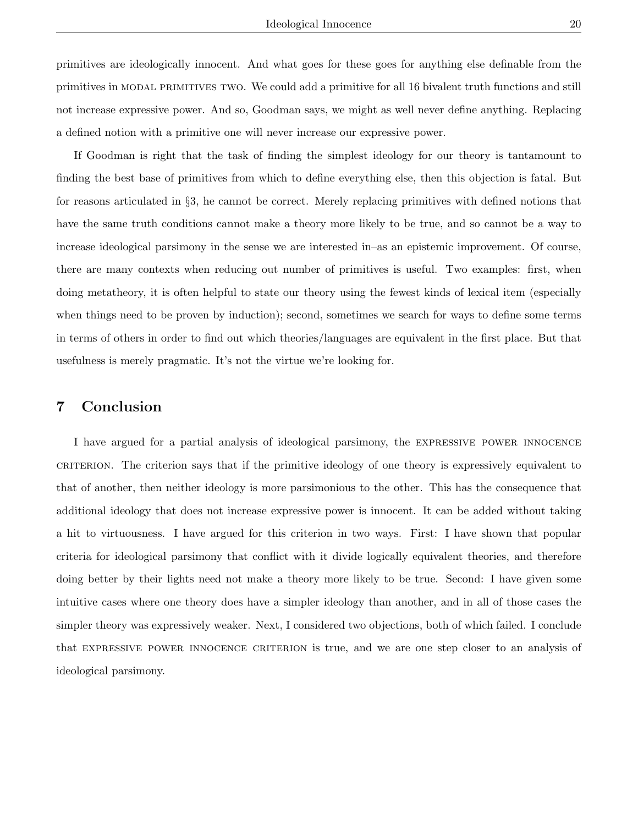primitives are ideologically innocent. And what goes for these goes for anything else definable from the primitives in modal primitives two. We could add a primitive for all 16 bivalent truth functions and still not increase expressive power. And so, Goodman says, we might as well never define anything. Replacing a defined notion with a primitive one will never increase our expressive power.

If Goodman is right that the task of finding the simplest ideology for our theory is tantamount to finding the best base of primitives from which to define everything else, then this objection is fatal. But for reasons articulated in §3, he cannot be correct. Merely replacing primitives with defined notions that have the same truth conditions cannot make a theory more likely to be true, and so cannot be a way to increase ideological parsimony in the sense we are interested in–as an epistemic improvement. Of course, there are many contexts when reducing out number of primitives is useful. Two examples: first, when doing metatheory, it is often helpful to state our theory using the fewest kinds of lexical item (especially when things need to be proven by induction); second, sometimes we search for ways to define some terms in terms of others in order to find out which theories/languages are equivalent in the first place. But that usefulness is merely pragmatic. It's not the virtue we're looking for.

# 7 Conclusion

I have argued for a partial analysis of ideological parsimony, the expressive power innocence criterion. The criterion says that if the primitive ideology of one theory is expressively equivalent to that of another, then neither ideology is more parsimonious to the other. This has the consequence that additional ideology that does not increase expressive power is innocent. It can be added without taking a hit to virtuousness. I have argued for this criterion in two ways. First: I have shown that popular criteria for ideological parsimony that conflict with it divide logically equivalent theories, and therefore doing better by their lights need not make a theory more likely to be true. Second: I have given some intuitive cases where one theory does have a simpler ideology than another, and in all of those cases the simpler theory was expressively weaker. Next, I considered two objections, both of which failed. I conclude that expressive power innocence criterion is true, and we are one step closer to an analysis of ideological parsimony.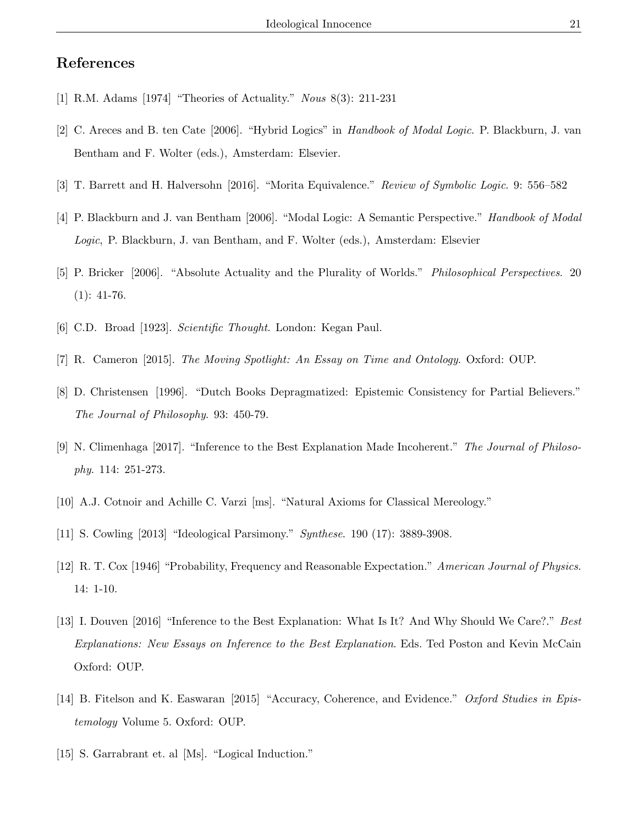# References

- [1] R.M. Adams [1974] "Theories of Actuality." Nous 8(3): 211-231
- [2] C. Areces and B. ten Cate [2006]. "Hybrid Logics" in Handbook of Modal Logic. P. Blackburn, J. van Bentham and F. Wolter (eds.), Amsterdam: Elsevier.
- [3] T. Barrett and H. Halversohn [2016]. "Morita Equivalence." Review of Symbolic Logic. 9: 556–582
- [4] P. Blackburn and J. van Bentham [2006]. "Modal Logic: A Semantic Perspective." Handbook of Modal Logic, P. Blackburn, J. van Bentham, and F. Wolter (eds.), Amsterdam: Elsevier
- [5] P. Bricker [2006]. "Absolute Actuality and the Plurality of Worlds." Philosophical Perspectives. 20  $(1): 41-76.$
- [6] C.D. Broad [1923]. Scientific Thought. London: Kegan Paul.
- [7] R. Cameron [2015]. The Moving Spotlight: An Essay on Time and Ontology. Oxford: OUP.
- [8] D. Christensen [1996]. "Dutch Books Depragmatized: Epistemic Consistency for Partial Believers." The Journal of Philosophy. 93: 450-79.
- [9] N. Climenhaga [2017]. "Inference to the Best Explanation Made Incoherent." The Journal of Philosophy. 114: 251-273.
- [10] A.J. Cotnoir and Achille C. Varzi [ms]. "Natural Axioms for Classical Mereology."
- [11] S. Cowling [2013] "Ideological Parsimony." Synthese. 190 (17): 3889-3908.
- [12] R. T. Cox [1946] "Probability, Frequency and Reasonable Expectation." American Journal of Physics. 14: 1-10.
- [13] I. Douven [2016] "Inference to the Best Explanation: What Is It? And Why Should We Care?." Best Explanations: New Essays on Inference to the Best Explanation. Eds. Ted Poston and Kevin McCain Oxford: OUP.
- [14] B. Fitelson and K. Easwaran [2015] "Accuracy, Coherence, and Evidence." Oxford Studies in Epistemology Volume 5. Oxford: OUP.
- [15] S. Garrabrant et. al [Ms]. "Logical Induction."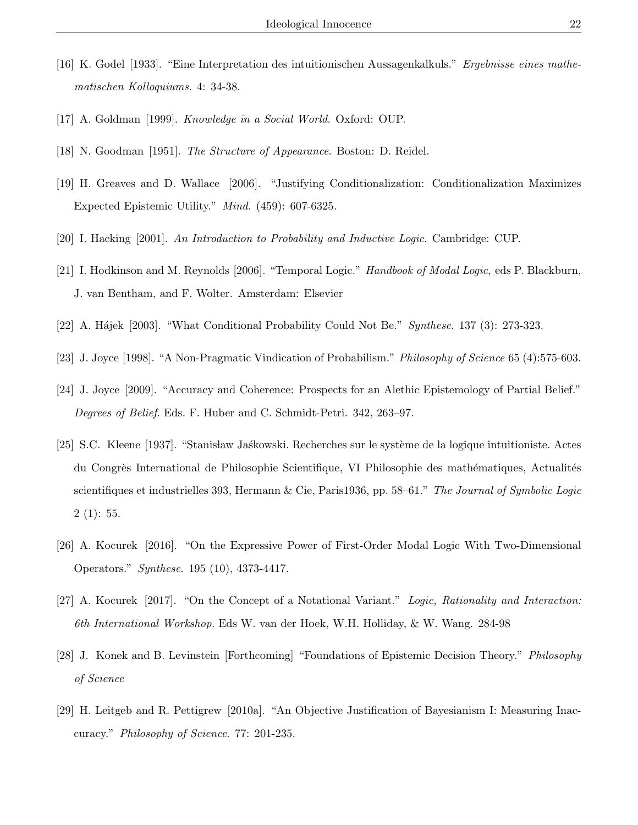- [16] K. Godel [1933]. "Eine Interpretation des intuitionischen Aussagenkalkuls." Ergebnisse eines mathematischen Kolloquiums. 4: 34-38.
- [17] A. Goldman [1999]. Knowledge in a Social World. Oxford: OUP.
- [18] N. Goodman [1951]. The Structure of Appearance. Boston: D. Reidel.
- [19] H. Greaves and D. Wallace [2006]. "Justifying Conditionalization: Conditionalization Maximizes Expected Epistemic Utility." Mind. (459): 607-6325.
- [20] I. Hacking [2001]. An Introduction to Probability and Inductive Logic. Cambridge: CUP.
- [21] I. Hodkinson and M. Reynolds [2006]. "Temporal Logic." Handbook of Modal Logic, eds P. Blackburn, J. van Bentham, and F. Wolter. Amsterdam: Elsevier
- [22] A. Hájek [2003]. "What Conditional Probability Could Not Be." Synthese. 137 (3): 273-323.
- [23] J. Joyce [1998]. "A Non-Pragmatic Vindication of Probabilism." Philosophy of Science 65 (4):575-603.
- [24] J. Joyce [2009]. "Accuracy and Coherence: Prospects for an Alethic Epistemology of Partial Belief." Degrees of Belief. Eds. F. Huber and C. Schmidt-Petri. 342, 263–97.
- [25] S.C. Kleene [1937]. "Stanisław Jaśkowski. Recherches sur le système de la logique intuitioniste. Actes du Congrès International de Philosophie Scientifique, VI Philosophie des mathématiques, Actualités scientifiques et industrielles 393, Hermann & Cie, Paris1936, pp. 58–61." The Journal of Symbolic Logic  $2(1): 55.$
- [26] A. Kocurek [2016]. "On the Expressive Power of First-Order Modal Logic With Two-Dimensional Operators." Synthese. 195 (10), 4373-4417.
- [27] A. Kocurek [2017]. "On the Concept of a Notational Variant." Logic, Rationality and Interaction: 6th International Workshop. Eds W. van der Hoek, W.H. Holliday, & W. Wang. 284-98
- [28] J. Konek and B. Levinstein [Forthcoming] "Foundations of Epistemic Decision Theory." Philosophy of Science
- [29] H. Leitgeb and R. Pettigrew [2010a]. "An Objective Justification of Bayesianism I: Measuring Inaccuracy." Philosophy of Science. 77: 201-235.